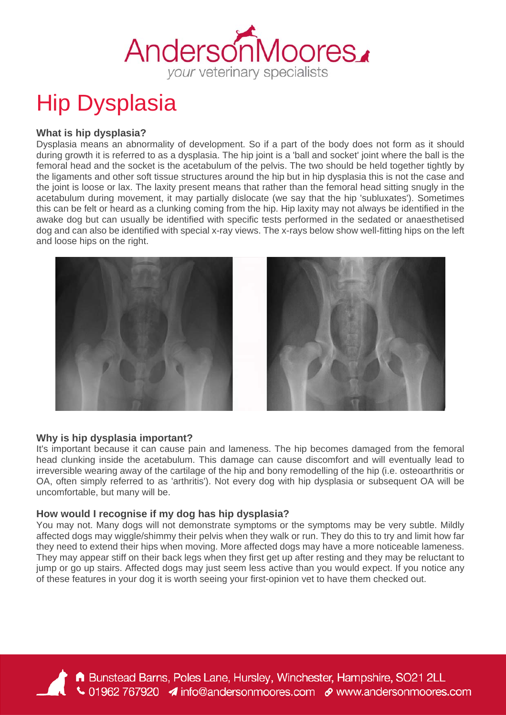

# Hip Dysplasia

# **What is hip dysplasia?**

Dysplasia means an abnormality of development. So if a part of the body does not form as it should during growth it is referred to as a dysplasia. The hip joint is a 'ball and socket' joint where the ball is the femoral head and the socket is the acetabulum of the pelvis. The two should be held together tightly by the ligaments and other soft tissue structures around the hip but in hip dysplasia this is not the case and the joint is loose or lax. The laxity present means that rather than the femoral head sitting snugly in the acetabulum during movement, it may partially dislocate (we say that the hip 'subluxates'). Sometimes this can be felt or heard as a clunking coming from the hip. Hip laxity may not always be identified in the awake dog but can usually be identified with specific tests performed in the sedated or anaesthetised dog and can also be identified with special x-ray views. The x-rays below show well-fitting hips on the left and loose hips on the right.



# **Why is hip dysplasia important?**

It's important because it can cause pain and lameness. The hip becomes damaged from the femoral head clunking inside the acetabulum. This damage can cause discomfort and will eventually lead to irreversible wearing away of the cartilage of the hip and bony remodelling of the hip (i.e. osteoarthritis or OA, often simply referred to as 'arthritis'). Not every dog with hip dysplasia or subsequent OA will be uncomfortable, but many will be.

# **How would I recognise if my dog has hip dysplasia?**

You may not. Many dogs will not demonstrate symptoms or the symptoms may be very subtle. Mildly affected dogs may wiggle/shimmy their pelvis when they walk or run. They do this to try and limit how far they need to extend their hips when moving. More affected dogs may have a more noticeable lameness. They may appear stiff on their back legs when they first get up after resting and they may be reluctant to jump or go up stairs. Affected dogs may just seem less active than you would expect. If you notice any of these features in your dog it is worth seeing your first-opinion vet to have them checked out.

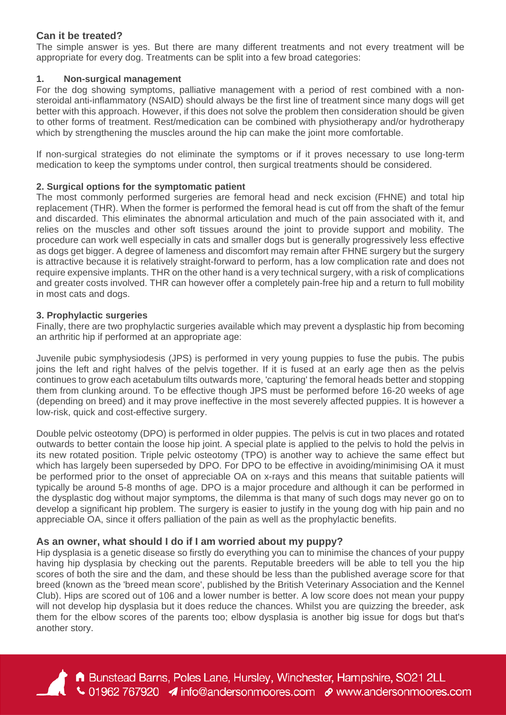### **Can it be treated?**

The simple answer is yes. But there are many different treatments and not every treatment will be appropriate for every dog. Treatments can be split into a few broad categories:

#### **1. Non-surgical management**

For the dog showing symptoms, palliative management with a period of rest combined with a nonsteroidal anti-inflammatory (NSAID) should always be the first line of treatment since many dogs will get better with this approach. However, if this does not solve the problem then consideration should be given to other forms of treatment. Rest/medication can be combined with physiotherapy and/or hydrotherapy which by strengthening the muscles around the hip can make the joint more comfortable.

If non-surgical strategies do not eliminate the symptoms or if it proves necessary to use long-term medication to keep the symptoms under control, then surgical treatments should be considered.

#### **2. Surgical options for the symptomatic patient**

The most commonly performed surgeries are femoral head and neck excision (FHNE) and total hip replacement (THR). When the former is performed the femoral head is cut off from the shaft of the femur and discarded. This eliminates the abnormal articulation and much of the pain associated with it, and relies on the muscles and other soft tissues around the joint to provide support and mobility. The procedure can work well especially in cats and smaller dogs but is generally progressively less effective as dogs get bigger. A degree of lameness and discomfort may remain after FHNE surgery but the surgery is attractive because it is relatively straight-forward to perform, has a low complication rate and does not require expensive implants. THR on the other hand is a very technical surgery, with a risk of complications and greater costs involved. THR can however offer a completely pain-free hip and a return to full mobility in most cats and dogs.

#### **3. Prophylactic surgeries**

Finally, there are two prophylactic surgeries available which may prevent a dysplastic hip from becoming an arthritic hip if performed at an appropriate age:

Juvenile pubic symphysiodesis (JPS) is performed in very young puppies to fuse the pubis. The pubis ioins the left and right halves of the pelvis together. If it is fused at an early age then as the pelvis continues to grow each acetabulum tilts outwards more, 'capturing' the femoral heads better and stopping them from clunking around. To be effective though JPS must be performed before 16-20 weeks of age (depending on breed) and it may prove ineffective in the most severely affected puppies. It is however a low-risk, quick and cost-effective surgery.

Double pelvic osteotomy (DPO) is performed in older puppies. The pelvis is cut in two places and rotated outwards to better contain the loose hip joint. A special plate is applied to the pelvis to hold the pelvis in its new rotated position. Triple pelvic osteotomy (TPO) is another way to achieve the same effect but which has largely been superseded by DPO. For DPO to be effective in avoiding/minimising OA it must be performed prior to the onset of appreciable OA on x-rays and this means that suitable patients will typically be around 5-8 months of age. DPO is a major procedure and although it can be performed in the dysplastic dog without major symptoms, the dilemma is that many of such dogs may never go on to develop a significant hip problem. The surgery is easier to justify in the young dog with hip pain and no appreciable OA, since it offers palliation of the pain as well as the prophylactic benefits.

# **As an owner, what should I do if I am worried about my puppy?**

Hip dysplasia is a genetic disease so firstly do everything you can to minimise the chances of your puppy having hip dysplasia by checking out the parents. Reputable breeders will be able to tell you the hip scores of both the sire and the dam, and these should be less than the published average score for that breed (known as the 'breed mean score', published by the British Veterinary Association and the Kennel Club). Hips are scored out of 106 and a lower number is better. A low score does not mean your puppy will not develop hip dysplasia but it does reduce the chances. Whilst you are quizzing the breeder, ask them for the elbow scores of the parents too; elbow dysplasia is another big issue for dogs but that's another story.



A Bunstead Barns, Poles Lane, Hursley, Winchester, Hampshire, SO21 2LL